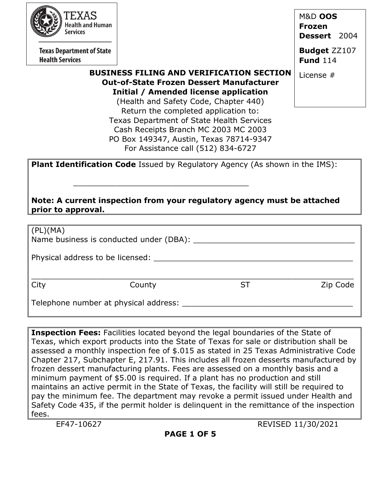| 'EXAS                                                                                         |                                                                                     | <b>M&amp;D OOS</b>  |  |  |
|-----------------------------------------------------------------------------------------------|-------------------------------------------------------------------------------------|---------------------|--|--|
| <b>Health and Human</b><br>Services                                                           |                                                                                     | <b>Frozen</b>       |  |  |
|                                                                                               |                                                                                     | Dessert 2004        |  |  |
| <b>Texas Department of State</b>                                                              |                                                                                     | <b>Budget ZZ107</b> |  |  |
| <b>Health Services</b>                                                                        |                                                                                     | <b>Fund 114</b>     |  |  |
|                                                                                               | <b>BUSINESS FILING AND VERIFICATION SECTION</b>                                     | License #           |  |  |
|                                                                                               | <b>Out-of-State Frozen Dessert Manufacturer</b>                                     |                     |  |  |
|                                                                                               | Initial / Amended license application                                               |                     |  |  |
|                                                                                               | (Health and Safety Code, Chapter 440)                                               |                     |  |  |
| Return the completed application to:                                                          |                                                                                     |                     |  |  |
| Texas Department of State Health Services                                                     |                                                                                     |                     |  |  |
|                                                                                               | Cash Receipts Branch MC 2003 MC 2003                                                |                     |  |  |
|                                                                                               | PO Box 149347, Austin, Texas 78714-9347<br>For Assistance call (512) 834-6727       |                     |  |  |
|                                                                                               |                                                                                     |                     |  |  |
|                                                                                               | <b>Plant Identification Code Issued by Regulatory Agency (As shown in the IMS):</b> |                     |  |  |
|                                                                                               |                                                                                     |                     |  |  |
|                                                                                               |                                                                                     |                     |  |  |
|                                                                                               |                                                                                     |                     |  |  |
| Note: A current inspection from your regulatory agency must be attached<br>prior to approval. |                                                                                     |                     |  |  |
|                                                                                               |                                                                                     |                     |  |  |
| (PL)(MA)                                                                                      |                                                                                     |                     |  |  |
|                                                                                               | Name business is conducted under (DBA): _____                                       |                     |  |  |
|                                                                                               |                                                                                     |                     |  |  |
| Physical address to be licensed:                                                              |                                                                                     |                     |  |  |
|                                                                                               |                                                                                     |                     |  |  |
|                                                                                               |                                                                                     |                     |  |  |

City County ST Zip Code

Telephone number at physical address:

**Inspection Fees:** Facilities located beyond the legal boundaries of the State of Texas, which export products into the State of Texas for sale or distribution shall be assessed a monthly inspection fee of \$.015 as stated in 25 Texas Administrative Code Chapter 217, Subchapter E, 217.91. This includes all frozen desserts manufactured by frozen dessert manufacturing plants. Fees are assessed on a monthly basis and a minimum payment of \$5.00 is required. If a plant has no production and still maintains an active permit in the State of Texas, the facility will still be required to pay the minimum fee. The department may revoke a permit issued under Health and Safety Code 435, if the permit holder is delinquent in the remittance of the inspection fees.

EF47-10627 REVISED 11/30/2021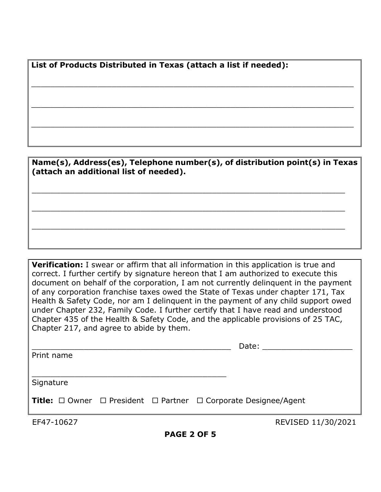**List of Products Distributed in Texas (attach a list if needed):**

**Name(s), Address(es), Telephone number(s), of distribution point(s) in Texas (attach an additional list of needed).** \_\_\_\_\_\_\_\_\_\_\_\_\_\_\_\_\_\_\_\_\_\_\_\_\_\_\_\_\_\_\_\_\_\_\_\_\_\_\_\_\_\_\_\_\_\_\_\_\_\_\_\_\_\_\_\_\_\_\_\_\_\_\_\_\_\_ \_\_\_\_\_\_\_\_\_\_\_\_\_\_\_\_\_\_\_\_\_\_\_\_\_\_\_\_\_\_\_\_\_\_\_\_\_\_\_\_\_\_\_\_\_\_\_\_\_\_\_\_\_\_\_\_\_\_\_\_\_\_\_\_\_\_ \_\_\_\_\_\_\_\_\_\_\_\_\_\_\_\_\_\_\_\_\_\_\_\_\_\_\_\_\_\_\_\_\_\_\_\_\_\_\_\_\_\_\_\_\_\_\_\_\_\_\_\_\_\_\_\_\_\_\_\_\_\_\_\_\_\_

 $\_$  , and the set of the set of the set of the set of the set of the set of the set of the set of the set of the set of the set of the set of the set of the set of the set of the set of the set of the set of the set of th

 $\_$  , and the set of the set of the set of the set of the set of the set of the set of the set of the set of the set of the set of the set of the set of the set of the set of the set of the set of the set of the set of th

 $\_$  , and the set of the set of the set of the set of the set of the set of the set of the set of the set of the set of the set of the set of the set of the set of the set of the set of the set of the set of the set of th

**Verification:** I swear or affirm that all information in this application is true and correct. I further certify by signature hereon that I am authorized to execute this document on behalf of the corporation, I am not currently delinquent in the payment of any corporation franchise taxes owed the State of Texas under chapter 171, Tax Health & Safety Code, nor am I delinquent in the payment of any child support owed under Chapter 232, Family Code. I further certify that I have read and understood Chapter 435 of the Health & Safety Code, and the applicable provisions of 25 TAC, Chapter 217, and agree to abide by them.

|            |  | Date: Date:                                                                                |
|------------|--|--------------------------------------------------------------------------------------------|
| Print name |  |                                                                                            |
|            |  |                                                                                            |
| Signature  |  |                                                                                            |
|            |  | <b>Title:</b> $\Box$ Owner $\Box$ President $\Box$ Partner $\Box$ Corporate Designee/Agent |
| EF47-10627 |  | REVISED 11/30/2021                                                                         |

**PAGE 2 OF 5**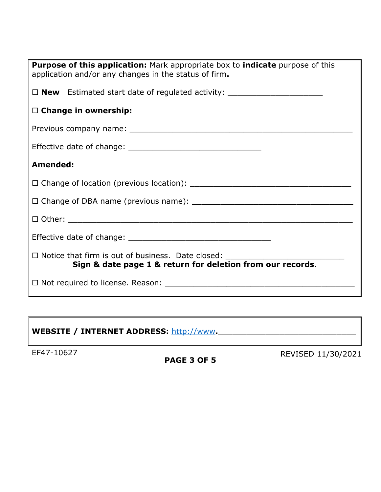| <b>Purpose of this application:</b> Mark appropriate box to <b>indicate</b> purpose of this<br>application and/or any changes in the status of firm. |  |  |
|------------------------------------------------------------------------------------------------------------------------------------------------------|--|--|
| □ <b>New</b> Estimated start date of regulated activity: ____________________________                                                                |  |  |
| $\Box$ Change in ownership:                                                                                                                          |  |  |
|                                                                                                                                                      |  |  |
|                                                                                                                                                      |  |  |
| Amended:                                                                                                                                             |  |  |
|                                                                                                                                                      |  |  |
|                                                                                                                                                      |  |  |
|                                                                                                                                                      |  |  |
|                                                                                                                                                      |  |  |
| $\Box$ Notice that firm is out of business. Date closed:<br>Sign & date page 1 & return for deletion from our records.                               |  |  |
|                                                                                                                                                      |  |  |

# WEBSITE / INTERNET ADDRESS: [http://www](http://www/).

## **PAGE 3 OF 5**

EF47-10627 **REVISED 11/30/2021**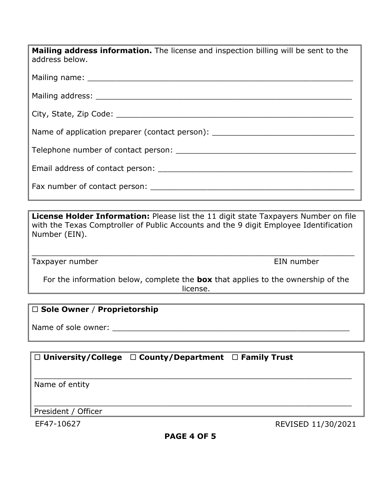| <b>Mailing address information.</b> The license and inspection billing will be sent to the<br>address below. |
|--------------------------------------------------------------------------------------------------------------|
|                                                                                                              |
|                                                                                                              |
|                                                                                                              |
| Name of application preparer (contact person):                                                               |
|                                                                                                              |
|                                                                                                              |
|                                                                                                              |

**License Holder Information:** Please list the 11 digit state Taxpayers Number on file with the Texas Comptroller of Public Accounts and the 9 digit Employee Identification Number (EIN).

\_\_\_\_\_\_\_\_\_\_\_\_\_\_\_\_\_\_\_\_\_\_\_\_\_\_\_\_\_\_\_\_\_\_\_\_\_\_\_\_\_\_\_\_\_\_\_\_\_\_\_\_\_\_\_\_\_\_\_\_\_\_\_\_\_\_\_\_

Taxpayer number **EIN** number

For the information below, complete the **box** that applies to the ownership of the license.

## **Sole Owner** / **Proprietorship**

Name of sole owner: \_\_\_\_\_\_\_\_\_\_\_\_\_\_\_\_\_\_\_\_\_\_\_\_\_\_\_\_\_\_\_\_\_\_\_\_\_\_\_\_\_\_\_\_\_\_\_\_\_\_

## **University/College County/Department Family Trust**

Name of entity

\_\_\_\_\_\_\_\_\_\_\_\_\_\_\_\_\_\_\_\_\_\_\_\_\_\_\_\_\_\_\_\_\_\_\_\_\_\_\_\_\_\_\_\_\_\_\_\_\_\_\_\_\_\_\_\_\_\_\_\_\_\_\_\_\_\_\_ President / Officer

EF47-10627 REVISED 11/30/2021

\_\_\_\_\_\_\_\_\_\_\_\_\_\_\_\_\_\_\_\_\_\_\_\_\_\_\_\_\_\_\_\_\_\_\_\_\_\_\_\_\_\_\_\_\_\_\_\_\_\_\_\_\_\_\_\_\_\_\_\_\_\_\_\_\_\_\_